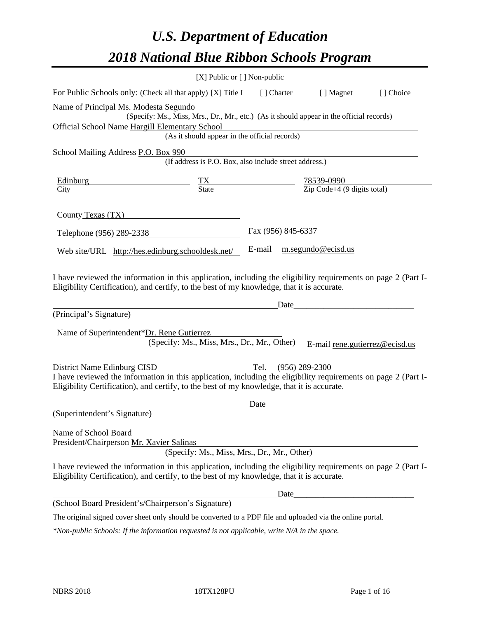# *U.S. Department of Education 2018 National Blue Ribbon Schools Program*

|                                                                                                                                                                                                              | $[X]$ Public or $[ ]$ Non-public                                                         |                          |                                                         |                                |
|--------------------------------------------------------------------------------------------------------------------------------------------------------------------------------------------------------------|------------------------------------------------------------------------------------------|--------------------------|---------------------------------------------------------|--------------------------------|
| For Public Schools only: (Check all that apply) [X] Title I                                                                                                                                                  |                                                                                          | [ ] Charter              | [ ] Magnet                                              | [] Choice                      |
| Name of Principal Ms. Modesta Segundo                                                                                                                                                                        |                                                                                          |                          |                                                         |                                |
|                                                                                                                                                                                                              | (Specify: Ms., Miss, Mrs., Dr., Mr., etc.) (As it should appear in the official records) |                          |                                                         |                                |
| Official School Name Hargill Elementary School                                                                                                                                                               | (As it should appear in the official records)                                            |                          |                                                         |                                |
|                                                                                                                                                                                                              |                                                                                          |                          |                                                         |                                |
| School Mailing Address P.O. Box 990                                                                                                                                                                          | (If address is P.O. Box, also include street address.)                                   |                          |                                                         |                                |
| Edinburg<br><u> 1989 - Johann Barnett, fransk politiker (</u>                                                                                                                                                | $\frac{TX}{State}$                                                                       | $\overline{\phantom{a}}$ | $\frac{78539-0990}{\text{Zip Code}+4 (9 digits total)}$ |                                |
| City                                                                                                                                                                                                         |                                                                                          |                          |                                                         |                                |
| County Texas (TX)                                                                                                                                                                                            |                                                                                          |                          |                                                         |                                |
| Telephone (956) 289-2338                                                                                                                                                                                     |                                                                                          | Fax (956) 845-6337       |                                                         |                                |
| Web site/URL http://hes.edinburg.schooldesk.net/                                                                                                                                                             |                                                                                          | E-mail                   | m.segundo@ecisd.us                                      |                                |
| (Principal's Signature)<br>Name of Superintendent*Dr. Rene Gutierrez                                                                                                                                         | (Specify: Ms., Miss, Mrs., Dr., Mr., Other)                                              | Date_                    |                                                         | E-mail rene.gutierrez@ecisd.us |
| District Name Edinburg CISD                                                                                                                                                                                  |                                                                                          |                          | Tel. (956) 289-2300                                     |                                |
| I have reviewed the information in this application, including the eligibility requirements on page 2 (Part I-<br>Eligibility Certification), and certify, to the best of my knowledge, that it is accurate. |                                                                                          |                          |                                                         |                                |
|                                                                                                                                                                                                              |                                                                                          | Date                     |                                                         |                                |
| (Superintendent's Signature)                                                                                                                                                                                 |                                                                                          |                          |                                                         |                                |
| Name of School Board<br>President/Chairperson Mr. Xavier Salinas                                                                                                                                             | (Specify: Ms., Miss, Mrs., Dr., Mr., Other)                                              |                          |                                                         |                                |
| I have reviewed the information in this application, including the eligibility requirements on page 2 (Part I-<br>Eligibility Certification), and certify, to the best of my knowledge, that it is accurate. |                                                                                          |                          |                                                         |                                |
|                                                                                                                                                                                                              |                                                                                          |                          |                                                         |                                |
| (School Board President's/Chairperson's Signature)                                                                                                                                                           |                                                                                          |                          |                                                         |                                |
| The original signed cover sheet only should be converted to a PDF file and uploaded via the online portal.                                                                                                   |                                                                                          |                          |                                                         |                                |

*\*Non-public Schools: If the information requested is not applicable, write N/A in the space.*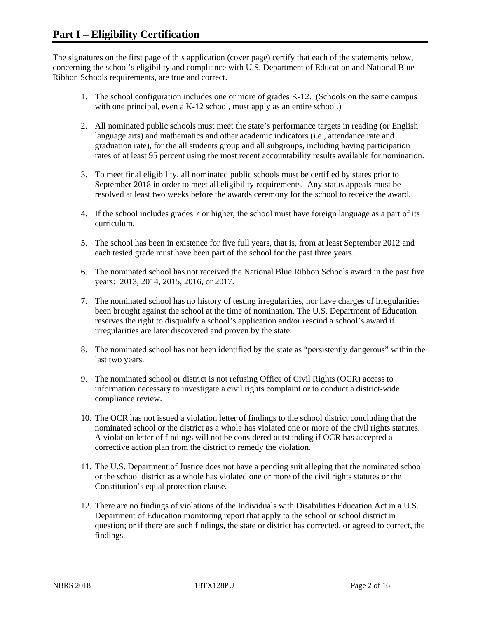The signatures on the first page of this application (cover page) certify that each of the statements below, concerning the school's eligibility and compliance with U.S. Department of Education and National Blue Ribbon Schools requirements, are true and correct.

- 1. The school configuration includes one or more of grades K-12. (Schools on the same campus with one principal, even a K-12 school, must apply as an entire school.)
- 2. All nominated public schools must meet the state's performance targets in reading (or English language arts) and mathematics and other academic indicators (i.e., attendance rate and graduation rate), for the all students group and all subgroups, including having participation rates of at least 95 percent using the most recent accountability results available for nomination.
- 3. To meet final eligibility, all nominated public schools must be certified by states prior to September 2018 in order to meet all eligibility requirements. Any status appeals must be resolved at least two weeks before the awards ceremony for the school to receive the award.
- 4. If the school includes grades 7 or higher, the school must have foreign language as a part of its curriculum.
- 5. The school has been in existence for five full years, that is, from at least September 2012 and each tested grade must have been part of the school for the past three years.
- 6. The nominated school has not received the National Blue Ribbon Schools award in the past five years: 2013, 2014, 2015, 2016, or 2017.
- 7. The nominated school has no history of testing irregularities, nor have charges of irregularities been brought against the school at the time of nomination. The U.S. Department of Education reserves the right to disqualify a school's application and/or rescind a school's award if irregularities are later discovered and proven by the state.
- 8. The nominated school has not been identified by the state as "persistently dangerous" within the last two years.
- 9. The nominated school or district is not refusing Office of Civil Rights (OCR) access to information necessary to investigate a civil rights complaint or to conduct a district-wide compliance review.
- 10. The OCR has not issued a violation letter of findings to the school district concluding that the nominated school or the district as a whole has violated one or more of the civil rights statutes. A violation letter of findings will not be considered outstanding if OCR has accepted a corrective action plan from the district to remedy the violation.
- 11. The U.S. Department of Justice does not have a pending suit alleging that the nominated school or the school district as a whole has violated one or more of the civil rights statutes or the Constitution's equal protection clause.
- 12. There are no findings of violations of the Individuals with Disabilities Education Act in a U.S. Department of Education monitoring report that apply to the school or school district in question; or if there are such findings, the state or district has corrected, or agreed to correct, the findings.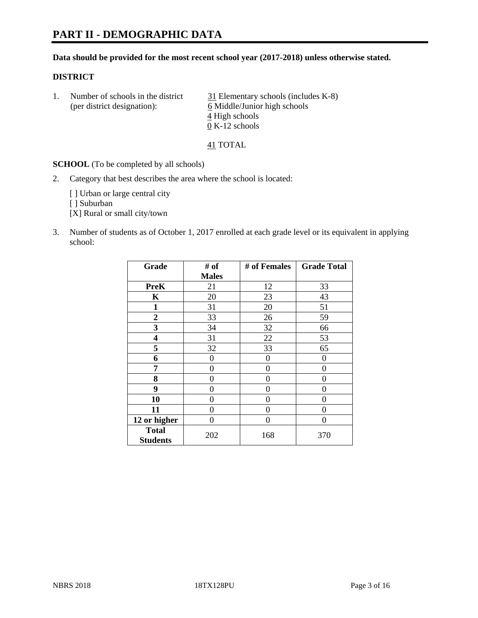# **PART II - DEMOGRAPHIC DATA**

#### **Data should be provided for the most recent school year (2017-2018) unless otherwise stated.**

#### **DISTRICT**

1. Number of schools in the district  $\frac{31}{21}$  Elementary schools (includes K-8) (per district designation): 6 Middle/Junior high schools 4 High schools 0 K-12 schools

41 TOTAL

**SCHOOL** (To be completed by all schools)

2. Category that best describes the area where the school is located:

[] Urban or large central city [ ] Suburban

[X] Rural or small city/town

3. Number of students as of October 1, 2017 enrolled at each grade level or its equivalent in applying school:

| Grade                           | # of         | # of Females | <b>Grade Total</b> |
|---------------------------------|--------------|--------------|--------------------|
|                                 | <b>Males</b> |              |                    |
| <b>PreK</b>                     | 21           | 12           | 33                 |
| $\mathbf K$                     | 20           | 23           | 43                 |
| 1                               | 31           | 20           | 51                 |
| $\overline{2}$                  | 33           | 26           | 59                 |
| 3                               | 34           | 32           | 66                 |
| 4                               | 31           | 22           | 53                 |
| 5                               | 32           | 33           | 65                 |
| 6                               | $\theta$     | 0            | 0                  |
| 7                               | 0            | $\theta$     | 0                  |
| 8                               | $\theta$     | $\theta$     | 0                  |
| 9                               | 0            | 0            | 0                  |
| 10                              | 0            | 0            | 0                  |
| 11                              | 0            | 0            | 0                  |
| 12 or higher                    | $\Omega$     | 0            | $\Omega$           |
| <b>Total</b><br><b>Students</b> | 202          | 168          | 370                |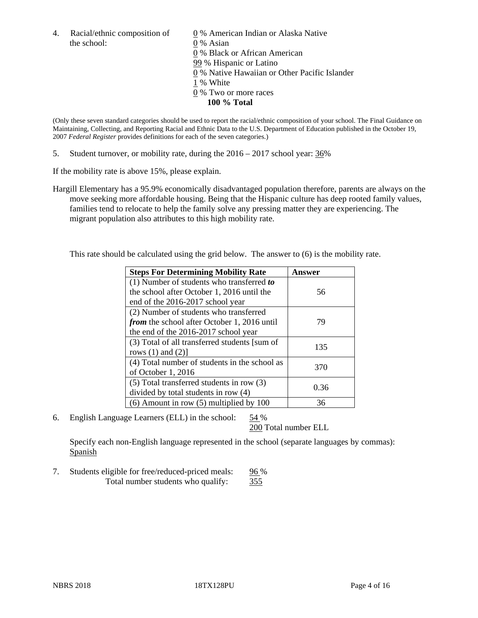the school: 0 % Asian

4. Racial/ethnic composition of  $\qquad \qquad \underline{0}$  % American Indian or Alaska Native 0 % Black or African American 99 % Hispanic or Latino 0 % Native Hawaiian or Other Pacific Islander 1 % White 0 % Two or more races **100 % Total**

(Only these seven standard categories should be used to report the racial/ethnic composition of your school. The Final Guidance on Maintaining, Collecting, and Reporting Racial and Ethnic Data to the U.S. Department of Education published in the October 19, 2007 *Federal Register* provides definitions for each of the seven categories.)

5. Student turnover, or mobility rate, during the 2016 – 2017 school year: 36%

If the mobility rate is above 15%, please explain.

Hargill Elementary has a 95.9% economically disadvantaged population therefore, parents are always on the move seeking more affordable housing. Being that the Hispanic culture has deep rooted family values, families tend to relocate to help the family solve any pressing matter they are experiencing. The migrant population also attributes to this high mobility rate.

This rate should be calculated using the grid below. The answer to (6) is the mobility rate.

| <b>Steps For Determining Mobility Rate</b>         | Answer |  |
|----------------------------------------------------|--------|--|
| $(1)$ Number of students who transferred to        |        |  |
| the school after October 1, 2016 until the         | 56     |  |
| end of the 2016-2017 school year                   |        |  |
| (2) Number of students who transferred             |        |  |
| <i>from</i> the school after October 1, 2016 until | 79     |  |
| the end of the 2016-2017 school year               |        |  |
| (3) Total of all transferred students [sum of      | 135    |  |
| rows $(1)$ and $(2)$ ]                             |        |  |
| (4) Total number of students in the school as      | 370    |  |
| of October 1, 2016                                 |        |  |
| $(5)$ Total transferred students in row $(3)$      | 0.36   |  |
| divided by total students in row (4)               |        |  |
| $(6)$ Amount in row $(5)$ multiplied by 100        | 36     |  |

6. English Language Learners (ELL) in the school: 54 %

200 Total number ELL

Specify each non-English language represented in the school (separate languages by commas): Spanish

7. Students eligible for free/reduced-priced meals: 96 % Total number students who qualify: 355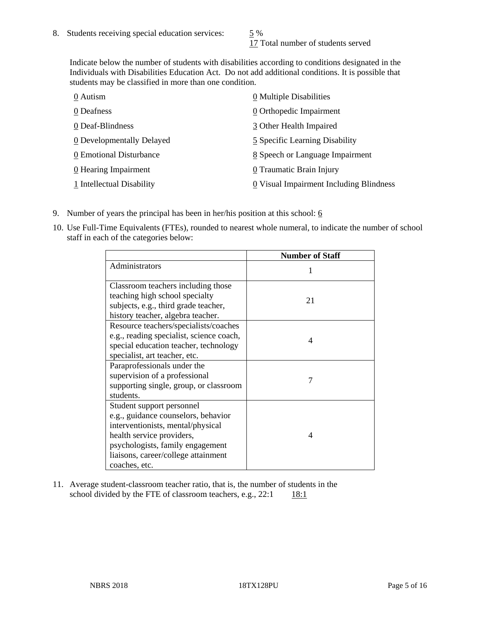17 Total number of students served

Indicate below the number of students with disabilities according to conditions designated in the Individuals with Disabilities Education Act. Do not add additional conditions. It is possible that students may be classified in more than one condition.

| 0 Autism                           | 0 Multiple Disabilities                 |
|------------------------------------|-----------------------------------------|
| 0 Deafness                         | 0 Orthopedic Impairment                 |
| 0 Deaf-Blindness                   | 3 Other Health Impaired                 |
| 0 Developmentally Delayed          | 5 Specific Learning Disability          |
| 0 Emotional Disturbance            | 8 Speech or Language Impairment         |
| $\underline{0}$ Hearing Impairment | 0 Traumatic Brain Injury                |
| 1 Intellectual Disability          | 0 Visual Impairment Including Blindness |

- 9. Number of years the principal has been in her/his position at this school:  $6$
- 10. Use Full-Time Equivalents (FTEs), rounded to nearest whole numeral, to indicate the number of school staff in each of the categories below:

|                                                                                                                                                                                                                                | <b>Number of Staff</b> |
|--------------------------------------------------------------------------------------------------------------------------------------------------------------------------------------------------------------------------------|------------------------|
| Administrators                                                                                                                                                                                                                 |                        |
| Classroom teachers including those<br>teaching high school specialty<br>subjects, e.g., third grade teacher,<br>history teacher, algebra teacher.                                                                              | 21                     |
| Resource teachers/specialists/coaches<br>e.g., reading specialist, science coach,<br>special education teacher, technology<br>specialist, art teacher, etc.                                                                    | 4                      |
| Paraprofessionals under the<br>supervision of a professional<br>supporting single, group, or classroom<br>students.                                                                                                            | 7                      |
| Student support personnel<br>e.g., guidance counselors, behavior<br>interventionists, mental/physical<br>health service providers,<br>psychologists, family engagement<br>liaisons, career/college attainment<br>coaches, etc. | 4                      |

11. Average student-classroom teacher ratio, that is, the number of students in the school divided by the FTE of classroom teachers, e.g.,  $22:1$  18:1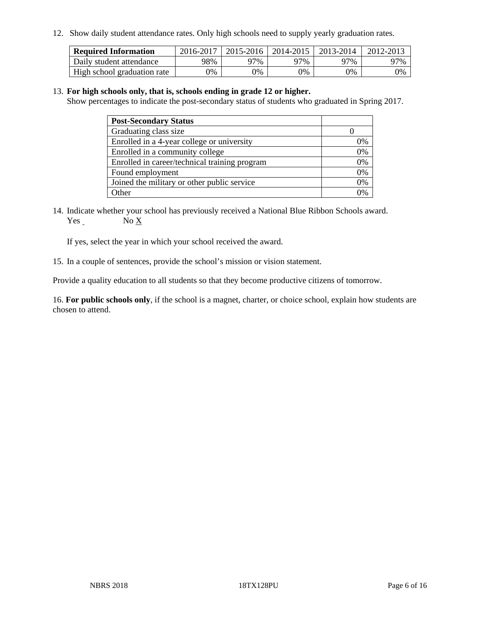12. Show daily student attendance rates. Only high schools need to supply yearly graduation rates.

| <b>Required Information</b> | 2016-2017 | 2015-2016 | 2014-2015 | 2013-2014 | 2012-2013 |
|-----------------------------|-----------|-----------|-----------|-----------|-----------|
| Daily student attendance    | 98%       | 97%       | 97%       | 97%       | 97%       |
| High school graduation rate | 0%        | 0%        | 0%        | 0%        | 0%        |

#### 13. **For high schools only, that is, schools ending in grade 12 or higher.**

Show percentages to indicate the post-secondary status of students who graduated in Spring 2017.

| <b>Post-Secondary Status</b>                  |    |
|-----------------------------------------------|----|
| Graduating class size                         |    |
| Enrolled in a 4-year college or university    | 7% |
| Enrolled in a community college               | 0% |
| Enrolled in career/technical training program | 0% |
| Found employment                              | 0% |
| Joined the military or other public service   | 0% |
| Other                                         |    |

14. Indicate whether your school has previously received a National Blue Ribbon Schools award. Yes No X

If yes, select the year in which your school received the award.

15. In a couple of sentences, provide the school's mission or vision statement.

Provide a quality education to all students so that they become productive citizens of tomorrow.

16. **For public schools only**, if the school is a magnet, charter, or choice school, explain how students are chosen to attend.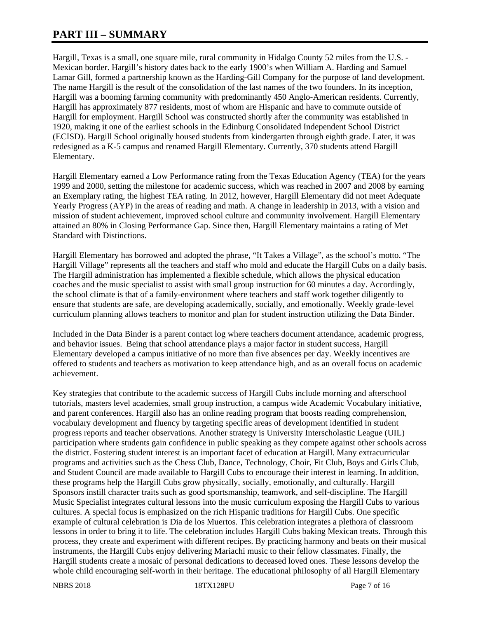# **PART III – SUMMARY**

Hargill, Texas is a small, one square mile, rural community in Hidalgo County 52 miles from the U.S. - Mexican border. Hargill's history dates back to the early 1900's when William A. Harding and Samuel Lamar Gill, formed a partnership known as the Harding-Gill Company for the purpose of land development. The name Hargill is the result of the consolidation of the last names of the two founders. In its inception, Hargill was a booming farming community with predominantly 450 Anglo-American residents. Currently, Hargill has approximately 877 residents, most of whom are Hispanic and have to commute outside of Hargill for employment. Hargill School was constructed shortly after the community was established in 1920, making it one of the earliest schools in the Edinburg Consolidated Independent School District (ECISD). Hargill School originally housed students from kindergarten through eighth grade. Later, it was redesigned as a K-5 campus and renamed Hargill Elementary. Currently, 370 students attend Hargill Elementary.

Hargill Elementary earned a Low Performance rating from the Texas Education Agency (TEA) for the years 1999 and 2000, setting the milestone for academic success, which was reached in 2007 and 2008 by earning an Exemplary rating, the highest TEA rating. In 2012, however, Hargill Elementary did not meet Adequate Yearly Progress (AYP) in the areas of reading and math. A change in leadership in 2013, with a vision and mission of student achievement, improved school culture and community involvement. Hargill Elementary attained an 80% in Closing Performance Gap. Since then, Hargill Elementary maintains a rating of Met Standard with Distinctions.

Hargill Elementary has borrowed and adopted the phrase, "It Takes a Village", as the school's motto. "The Hargill Village" represents all the teachers and staff who mold and educate the Hargill Cubs on a daily basis. The Hargill administration has implemented a flexible schedule, which allows the physical education coaches and the music specialist to assist with small group instruction for 60 minutes a day. Accordingly, the school climate is that of a family-environment where teachers and staff work together diligently to ensure that students are safe, are developing academically, socially, and emotionally. Weekly grade-level curriculum planning allows teachers to monitor and plan for student instruction utilizing the Data Binder.

Included in the Data Binder is a parent contact log where teachers document attendance, academic progress, and behavior issues. Being that school attendance plays a major factor in student success, Hargill Elementary developed a campus initiative of no more than five absences per day. Weekly incentives are offered to students and teachers as motivation to keep attendance high, and as an overall focus on academic achievement.

Key strategies that contribute to the academic success of Hargill Cubs include morning and afterschool tutorials, masters level academies, small group instruction, a campus wide Academic Vocabulary initiative, and parent conferences. Hargill also has an online reading program that boosts reading comprehension, vocabulary development and fluency by targeting specific areas of development identified in student progress reports and teacher observations. Another strategy is University Interscholastic League (UIL) participation where students gain confidence in public speaking as they compete against other schools across the district. Fostering student interest is an important facet of education at Hargill. Many extracurricular programs and activities such as the Chess Club, Dance, Technology, Choir, Fit Club, Boys and Girls Club, and Student Council are made available to Hargill Cubs to encourage their interest in learning. In addition, these programs help the Hargill Cubs grow physically, socially, emotionally, and culturally. Hargill Sponsors instill character traits such as good sportsmanship, teamwork, and self-discipline. The Hargill Music Specialist integrates cultural lessons into the music curriculum exposing the Hargill Cubs to various cultures. A special focus is emphasized on the rich Hispanic traditions for Hargill Cubs. One specific example of cultural celebration is Dia de los Muertos. This celebration integrates a plethora of classroom lessons in order to bring it to life. The celebration includes Hargill Cubs baking Mexican treats. Through this process, they create and experiment with different recipes. By practicing harmony and beats on their musical instruments, the Hargill Cubs enjoy delivering Mariachi music to their fellow classmates. Finally, the Hargill students create a mosaic of personal dedications to deceased loved ones. These lessons develop the whole child encouraging self-worth in their heritage. The educational philosophy of all Hargill Elementary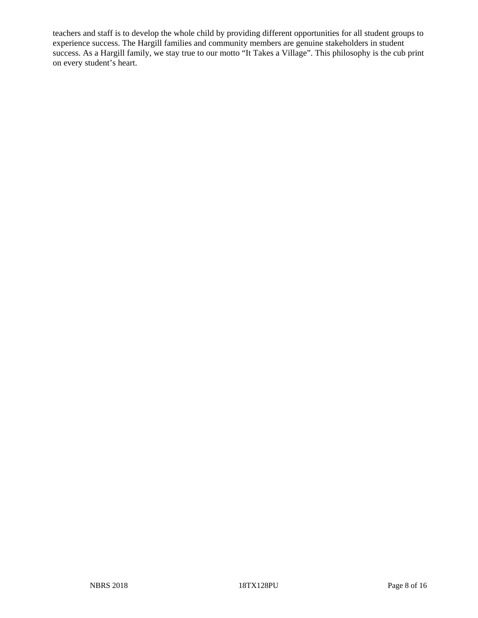teachers and staff is to develop the whole child by providing different opportunities for all student groups to experience success. The Hargill families and community members are genuine stakeholders in student success. As a Hargill family, we stay true to our motto "It Takes a Village". This philosophy is the cub print on every student's heart.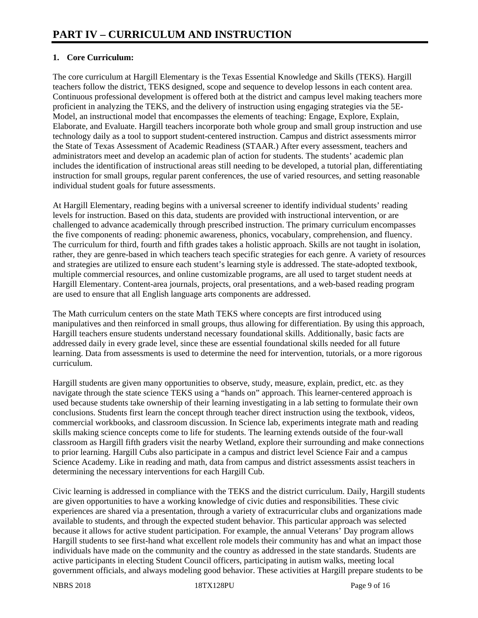# **1. Core Curriculum:**

The core curriculum at Hargill Elementary is the Texas Essential Knowledge and Skills (TEKS). Hargill teachers follow the district, TEKS designed, scope and sequence to develop lessons in each content area. Continuous professional development is offered both at the district and campus level making teachers more proficient in analyzing the TEKS, and the delivery of instruction using engaging strategies via the 5E-Model, an instructional model that encompasses the elements of teaching: Engage, Explore, Explain, Elaborate, and Evaluate. Hargill teachers incorporate both whole group and small group instruction and use technology daily as a tool to support student-centered instruction. Campus and district assessments mirror the State of Texas Assessment of Academic Readiness (STAAR.) After every assessment, teachers and administrators meet and develop an academic plan of action for students. The students' academic plan includes the identification of instructional areas still needing to be developed, a tutorial plan, differentiating instruction for small groups, regular parent conferences, the use of varied resources, and setting reasonable individual student goals for future assessments.

At Hargill Elementary, reading begins with a universal screener to identify individual students' reading levels for instruction. Based on this data, students are provided with instructional intervention, or are challenged to advance academically through prescribed instruction. The primary curriculum encompasses the five components of reading: phonemic awareness, phonics, vocabulary, comprehension, and fluency. The curriculum for third, fourth and fifth grades takes a holistic approach. Skills are not taught in isolation, rather, they are genre-based in which teachers teach specific strategies for each genre. A variety of resources and strategies are utilized to ensure each student's learning style is addressed. The state-adopted textbook, multiple commercial resources, and online customizable programs, are all used to target student needs at Hargill Elementary. Content-area journals, projects, oral presentations, and a web-based reading program are used to ensure that all English language arts components are addressed.

The Math curriculum centers on the state Math TEKS where concepts are first introduced using manipulatives and then reinforced in small groups, thus allowing for differentiation. By using this approach, Hargill teachers ensure students understand necessary foundational skills. Additionally, basic facts are addressed daily in every grade level, since these are essential foundational skills needed for all future learning. Data from assessments is used to determine the need for intervention, tutorials, or a more rigorous curriculum.

Hargill students are given many opportunities to observe, study, measure, explain, predict, etc. as they navigate through the state science TEKS using a "hands on" approach. This learner-centered approach is used because students take ownership of their learning investigating in a lab setting to formulate their own conclusions. Students first learn the concept through teacher direct instruction using the textbook, videos, commercial workbooks, and classroom discussion. In Science lab, experiments integrate math and reading skills making science concepts come to life for students. The learning extends outside of the four-wall classroom as Hargill fifth graders visit the nearby Wetland, explore their surrounding and make connections to prior learning. Hargill Cubs also participate in a campus and district level Science Fair and a campus Science Academy. Like in reading and math, data from campus and district assessments assist teachers in determining the necessary interventions for each Hargill Cub.

Civic learning is addressed in compliance with the TEKS and the district curriculum. Daily, Hargill students are given opportunities to have a working knowledge of civic duties and responsibilities. These civic experiences are shared via a presentation, through a variety of extracurricular clubs and organizations made available to students, and through the expected student behavior. This particular approach was selected because it allows for active student participation. For example, the annual Veterans' Day program allows Hargill students to see first-hand what excellent role models their community has and what an impact those individuals have made on the community and the country as addressed in the state standards. Students are active participants in electing Student Council officers, participating in autism walks, meeting local government officials, and always modeling good behavior. These activities at Hargill prepare students to be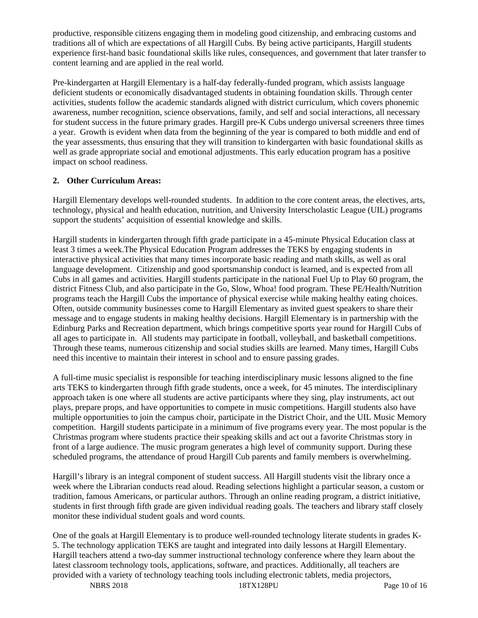productive, responsible citizens engaging them in modeling good citizenship, and embracing customs and traditions all of which are expectations of all Hargill Cubs. By being active participants, Hargill students experience first-hand basic foundational skills like rules, consequences, and government that later transfer to content learning and are applied in the real world.

Pre-kindergarten at Hargill Elementary is a half-day federally-funded program, which assists language deficient students or economically disadvantaged students in obtaining foundation skills. Through center activities, students follow the academic standards aligned with district curriculum, which covers phonemic awareness, number recognition, science observations, family, and self and social interactions, all necessary for student success in the future primary grades. Hargill pre-K Cubs undergo universal screeners three times a year. Growth is evident when data from the beginning of the year is compared to both middle and end of the year assessments, thus ensuring that they will transition to kindergarten with basic foundational skills as well as grade appropriate social and emotional adjustments. This early education program has a positive impact on school readiness.

# **2. Other Curriculum Areas:**

Hargill Elementary develops well-rounded students. In addition to the core content areas, the electives, arts, technology, physical and health education, nutrition, and University Interscholastic League (UIL) programs support the students' acquisition of essential knowledge and skills.

Hargill students in kindergarten through fifth grade participate in a 45-minute Physical Education class at least 3 times a week.The Physical Education Program addresses the TEKS by engaging students in interactive physical activities that many times incorporate basic reading and math skills, as well as oral language development. Citizenship and good sportsmanship conduct is learned, and is expected from all Cubs in all games and activities. Hargill students participate in the national Fuel Up to Play 60 program, the district Fitness Club, and also participate in the Go, Slow, Whoa! food program. These PE/Health/Nutrition programs teach the Hargill Cubs the importance of physical exercise while making healthy eating choices. Often, outside community businesses come to Hargill Elementary as invited guest speakers to share their message and to engage students in making healthy decisions. Hargill Elementary is in partnership with the Edinburg Parks and Recreation department, which brings competitive sports year round for Hargill Cubs of all ages to participate in. All students may participate in football, volleyball, and basketball competitions. Through these teams, numerous citizenship and social studies skills are learned. Many times, Hargill Cubs need this incentive to maintain their interest in school and to ensure passing grades.

A full-time music specialist is responsible for teaching interdisciplinary music lessons aligned to the fine arts TEKS to kindergarten through fifth grade students, once a week, for 45 minutes. The interdisciplinary approach taken is one where all students are active participants where they sing, play instruments, act out plays, prepare props, and have opportunities to compete in music competitions. Hargill students also have multiple opportunities to join the campus choir, participate in the District Choir, and the UIL Music Memory competition. Hargill students participate in a minimum of five programs every year. The most popular is the Christmas program where students practice their speaking skills and act out a favorite Christmas story in front of a large audience. The music program generates a high level of community support. During these scheduled programs, the attendance of proud Hargill Cub parents and family members is overwhelming.

Hargill's library is an integral component of student success. All Hargill students visit the library once a week where the Librarian conducts read aloud. Reading selections highlight a particular season, a custom or tradition, famous Americans, or particular authors. Through an online reading program, a district initiative, students in first through fifth grade are given individual reading goals. The teachers and library staff closely monitor these individual student goals and word counts.

One of the goals at Hargill Elementary is to produce well-rounded technology literate students in grades K-5. The technology application TEKS are taught and integrated into daily lessons at Hargill Elementary. Hargill teachers attend a two-day summer instructional technology conference where they learn about the latest classroom technology tools, applications, software, and practices. Additionally, all teachers are provided with a variety of technology teaching tools including electronic tablets, media projectors,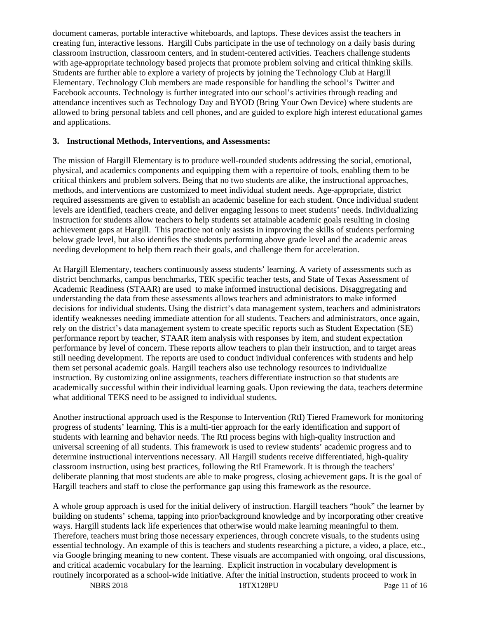document cameras, portable interactive whiteboards, and laptops. These devices assist the teachers in creating fun, interactive lessons. Hargill Cubs participate in the use of technology on a daily basis during classroom instruction, classroom centers, and in student-centered activities. Teachers challenge students with age-appropriate technology based projects that promote problem solving and critical thinking skills. Students are further able to explore a variety of projects by joining the Technology Club at Hargill Elementary. Technology Club members are made responsible for handling the school's Twitter and Facebook accounts. Technology is further integrated into our school's activities through reading and attendance incentives such as Technology Day and BYOD (Bring Your Own Device) where students are allowed to bring personal tablets and cell phones, and are guided to explore high interest educational games and applications.

#### **3. Instructional Methods, Interventions, and Assessments:**

The mission of Hargill Elementary is to produce well-rounded students addressing the social, emotional, physical, and academics components and equipping them with a repertoire of tools, enabling them to be critical thinkers and problem solvers. Being that no two students are alike, the instructional approaches, methods, and interventions are customized to meet individual student needs. Age-appropriate, district required assessments are given to establish an academic baseline for each student. Once individual student levels are identified, teachers create, and deliver engaging lessons to meet students' needs. Individualizing instruction for students allow teachers to help students set attainable academic goals resulting in closing achievement gaps at Hargill. This practice not only assists in improving the skills of students performing below grade level, but also identifies the students performing above grade level and the academic areas needing development to help them reach their goals, and challenge them for acceleration.

At Hargill Elementary, teachers continuously assess students' learning. A variety of assessments such as district benchmarks, campus benchmarks, TEK specific teacher tests, and State of Texas Assessment of Academic Readiness (STAAR) are used to make informed instructional decisions. Disaggregating and understanding the data from these assessments allows teachers and administrators to make informed decisions for individual students. Using the district's data management system, teachers and administrators identify weaknesses needing immediate attention for all students. Teachers and administrators, once again, rely on the district's data management system to create specific reports such as Student Expectation (SE) performance report by teacher, STAAR item analysis with responses by item, and student expectation performance by level of concern. These reports allow teachers to plan their instruction, and to target areas still needing development. The reports are used to conduct individual conferences with students and help them set personal academic goals. Hargill teachers also use technology resources to individualize instruction. By customizing online assignments, teachers differentiate instruction so that students are academically successful within their individual learning goals. Upon reviewing the data, teachers determine what additional TEKS need to be assigned to individual students.

Another instructional approach used is the Response to Intervention (RtI) Tiered Framework for monitoring progress of students' learning. This is a multi-tier approach for the early identification and support of students with learning and behavior needs. The RtI process begins with high-quality instruction and universal screening of all students. This framework is used to review students' academic progress and to determine instructional interventions necessary. All Hargill students receive differentiated, high-quality classroom instruction, using best practices, following the RtI Framework. It is through the teachers' deliberate planning that most students are able to make progress, closing achievement gaps. It is the goal of Hargill teachers and staff to close the performance gap using this framework as the resource.

A whole group approach is used for the initial delivery of instruction. Hargill teachers "hook" the learner by building on students' schema, tapping into prior/background knowledge and by incorporating other creative ways. Hargill students lack life experiences that otherwise would make learning meaningful to them. Therefore, teachers must bring those necessary experiences, through concrete visuals, to the students using essential technology. An example of this is teachers and students researching a picture, a video, a place, etc., via Google bringing meaning to new content. These visuals are accompanied with ongoing, oral discussions, and critical academic vocabulary for the learning. Explicit instruction in vocabulary development is routinely incorporated as a school-wide initiative. After the initial instruction, students proceed to work in

NBRS 2018 18TX128PU Page 11 of 16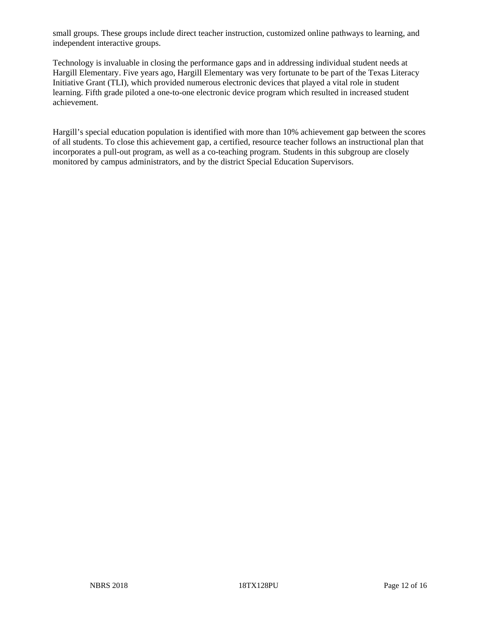small groups. These groups include direct teacher instruction, customized online pathways to learning, and independent interactive groups.

Technology is invaluable in closing the performance gaps and in addressing individual student needs at Hargill Elementary. Five years ago, Hargill Elementary was very fortunate to be part of the Texas Literacy Initiative Grant (TLI), which provided numerous electronic devices that played a vital role in student learning. Fifth grade piloted a one-to-one electronic device program which resulted in increased student achievement.

Hargill's special education population is identified with more than 10% achievement gap between the scores of all students. To close this achievement gap, a certified, resource teacher follows an instructional plan that incorporates a pull-out program, as well as a co-teaching program. Students in this subgroup are closely monitored by campus administrators, and by the district Special Education Supervisors.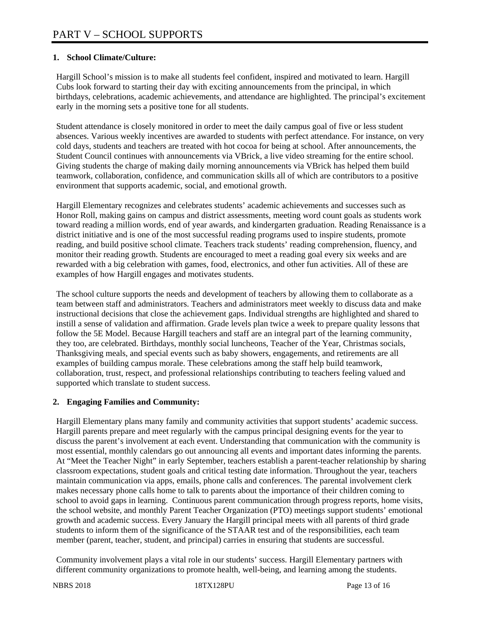## **1. School Climate/Culture:**

Hargill School's mission is to make all students feel confident, inspired and motivated to learn. Hargill Cubs look forward to starting their day with exciting announcements from the principal, in which birthdays, celebrations, academic achievements, and attendance are highlighted. The principal's excitement early in the morning sets a positive tone for all students.

Student attendance is closely monitored in order to meet the daily campus goal of five or less student absences. Various weekly incentives are awarded to students with perfect attendance. For instance, on very cold days, students and teachers are treated with hot cocoa for being at school. After announcements, the Student Council continues with announcements via VBrick, a live video streaming for the entire school. Giving students the charge of making daily morning announcements via VBrick has helped them build teamwork, collaboration, confidence, and communication skills all of which are contributors to a positive environment that supports academic, social, and emotional growth.

Hargill Elementary recognizes and celebrates students' academic achievements and successes such as Honor Roll, making gains on campus and district assessments, meeting word count goals as students work toward reading a million words, end of year awards, and kindergarten graduation. Reading Renaissance is a district initiative and is one of the most successful reading programs used to inspire students, promote reading, and build positive school climate. Teachers track students' reading comprehension, fluency, and monitor their reading growth. Students are encouraged to meet a reading goal every six weeks and are rewarded with a big celebration with games, food, electronics, and other fun activities. All of these are examples of how Hargill engages and motivates students.

The school culture supports the needs and development of teachers by allowing them to collaborate as a team between staff and administrators. Teachers and administrators meet weekly to discuss data and make instructional decisions that close the achievement gaps. Individual strengths are highlighted and shared to instill a sense of validation and affirmation. Grade levels plan twice a week to prepare quality lessons that follow the 5E Model. Because Hargill teachers and staff are an integral part of the learning community, they too, are celebrated. Birthdays, monthly social luncheons, Teacher of the Year, Christmas socials, Thanksgiving meals, and special events such as baby showers, engagements, and retirements are all examples of building campus morale. These celebrations among the staff help build teamwork, collaboration, trust, respect, and professional relationships contributing to teachers feeling valued and supported which translate to student success.

## **2. Engaging Families and Community:**

Hargill Elementary plans many family and community activities that support students' academic success. Hargill parents prepare and meet regularly with the campus principal designing events for the year to discuss the parent's involvement at each event. Understanding that communication with the community is most essential, monthly calendars go out announcing all events and important dates informing the parents. At "Meet the Teacher Night" in early September, teachers establish a parent-teacher relationship by sharing classroom expectations, student goals and critical testing date information. Throughout the year, teachers maintain communication via apps, emails, phone calls and conferences. The parental involvement clerk makes necessary phone calls home to talk to parents about the importance of their children coming to school to avoid gaps in learning. Continuous parent communication through progress reports, home visits, the school website, and monthly Parent Teacher Organization (PTO) meetings support students' emotional growth and academic success. Every January the Hargill principal meets with all parents of third grade students to inform them of the significance of the STAAR test and of the responsibilities, each team member (parent, teacher, student, and principal) carries in ensuring that students are successful.

Community involvement plays a vital role in our students' success. Hargill Elementary partners with different community organizations to promote health, well-being, and learning among the students.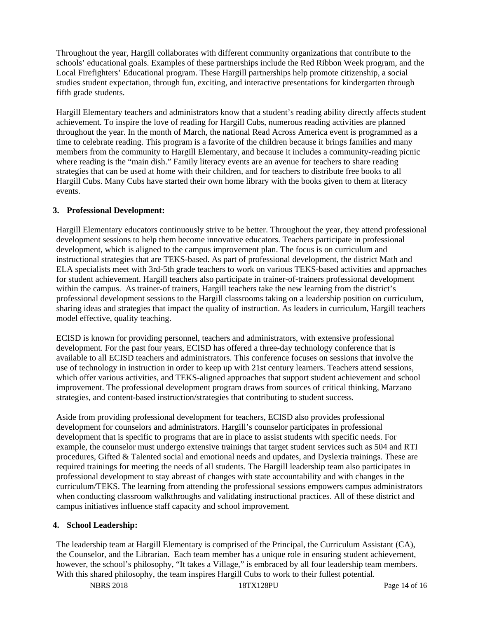Throughout the year, Hargill collaborates with different community organizations that contribute to the schools' educational goals. Examples of these partnerships include the Red Ribbon Week program, and the Local Firefighters' Educational program. These Hargill partnerships help promote citizenship, a social studies student expectation, through fun, exciting, and interactive presentations for kindergarten through fifth grade students.

Hargill Elementary teachers and administrators know that a student's reading ability directly affects student achievement. To inspire the love of reading for Hargill Cubs, numerous reading activities are planned throughout the year. In the month of March, the national Read Across America event is programmed as a time to celebrate reading. This program is a favorite of the children because it brings families and many members from the community to Hargill Elementary, and because it includes a community-reading picnic where reading is the "main dish." Family literacy events are an avenue for teachers to share reading strategies that can be used at home with their children, and for teachers to distribute free books to all Hargill Cubs. Many Cubs have started their own home library with the books given to them at literacy events.

## **3. Professional Development:**

Hargill Elementary educators continuously strive to be better. Throughout the year, they attend professional development sessions to help them become innovative educators. Teachers participate in professional development, which is aligned to the campus improvement plan. The focus is on curriculum and instructional strategies that are TEKS-based. As part of professional development, the district Math and ELA specialists meet with 3rd-5th grade teachers to work on various TEKS-based activities and approaches for student achievement. Hargill teachers also participate in trainer-of-trainers professional development within the campus. As trainer-of trainers, Hargill teachers take the new learning from the district's professional development sessions to the Hargill classrooms taking on a leadership position on curriculum, sharing ideas and strategies that impact the quality of instruction. As leaders in curriculum, Hargill teachers model effective, quality teaching.

ECISD is known for providing personnel, teachers and administrators, with extensive professional development. For the past four years, ECISD has offered a three-day technology conference that is available to all ECISD teachers and administrators. This conference focuses on sessions that involve the use of technology in instruction in order to keep up with 21st century learners. Teachers attend sessions, which offer various activities, and TEKS-aligned approaches that support student achievement and school improvement. The professional development program draws from sources of critical thinking, Marzano strategies, and content-based instruction/strategies that contributing to student success.

Aside from providing professional development for teachers, ECISD also provides professional development for counselors and administrators. Hargill's counselor participates in professional development that is specific to programs that are in place to assist students with specific needs. For example, the counselor must undergo extensive trainings that target student services such as 504 and RTI procedures, Gifted & Talented social and emotional needs and updates, and Dyslexia trainings. These are required trainings for meeting the needs of all students. The Hargill leadership team also participates in professional development to stay abreast of changes with state accountability and with changes in the curriculum/TEKS. The learning from attending the professional sessions empowers campus administrators when conducting classroom walkthroughs and validating instructional practices. All of these district and campus initiatives influence staff capacity and school improvement.

## **4. School Leadership:**

The leadership team at Hargill Elementary is comprised of the Principal, the Curriculum Assistant (CA), the Counselor, and the Librarian. Each team member has a unique role in ensuring student achievement, however, the school's philosophy, "It takes a Village," is embraced by all four leadership team members. With this shared philosophy, the team inspires Hargill Cubs to work to their fullest potential.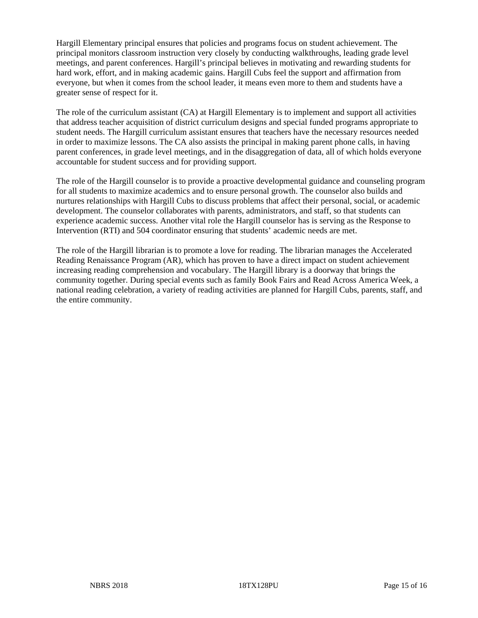Hargill Elementary principal ensures that policies and programs focus on student achievement. The principal monitors classroom instruction very closely by conducting walkthroughs, leading grade level meetings, and parent conferences. Hargill's principal believes in motivating and rewarding students for hard work, effort, and in making academic gains. Hargill Cubs feel the support and affirmation from everyone, but when it comes from the school leader, it means even more to them and students have a greater sense of respect for it.

The role of the curriculum assistant (CA) at Hargill Elementary is to implement and support all activities that address teacher acquisition of district curriculum designs and special funded programs appropriate to student needs. The Hargill curriculum assistant ensures that teachers have the necessary resources needed in order to maximize lessons. The CA also assists the principal in making parent phone calls, in having parent conferences, in grade level meetings, and in the disaggregation of data, all of which holds everyone accountable for student success and for providing support.

The role of the Hargill counselor is to provide a proactive developmental guidance and counseling program for all students to maximize academics and to ensure personal growth. The counselor also builds and nurtures relationships with Hargill Cubs to discuss problems that affect their personal, social, or academic development. The counselor collaborates with parents, administrators, and staff, so that students can experience academic success. Another vital role the Hargill counselor has is serving as the Response to Intervention (RTI) and 504 coordinator ensuring that students' academic needs are met.

The role of the Hargill librarian is to promote a love for reading. The librarian manages the Accelerated Reading Renaissance Program (AR), which has proven to have a direct impact on student achievement increasing reading comprehension and vocabulary. The Hargill library is a doorway that brings the community together. During special events such as family Book Fairs and Read Across America Week, a national reading celebration, a variety of reading activities are planned for Hargill Cubs, parents, staff, and the entire community.